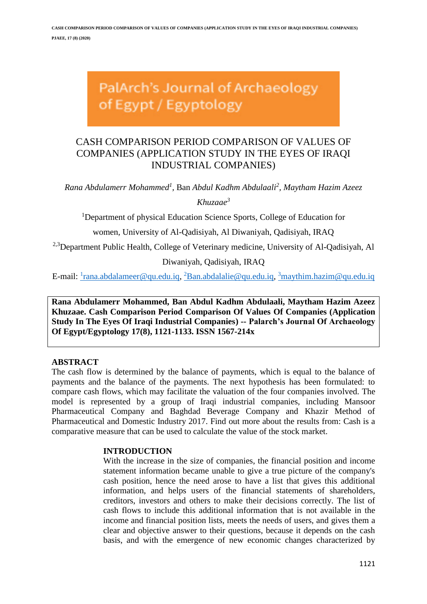# PalArch's Journal of Archaeology of Egypt / Egyptology

# CASH COMPARISON PERIOD COMPARISON OF VALUES OF COMPANIES (APPLICATION STUDY IN THE EYES OF IRAQI INDUSTRIAL COMPANIES)

*Rana Abdulamerr Mohammed<sup>1</sup> ,* Ban *Abdul Kadhm Abdulaali<sup>2</sup> , Maytham Hazim Azeez Khuzaae<sup>3</sup>*

<sup>1</sup>Department of physical Education Science Sports, College of Education for

women, University of Al-Qadisiyah, Al Diwaniyah, Qadisiyah, IRAQ

<sup>2,3</sup>Department Public Health, College of Veterinary medicine, University of Al-Qadisiyah, Al

Diwaniyah, Qadisiyah, IRAQ

E-mail: <u><sup>1</sup>[rana.abdalameer@qu.edu.iq,](mailto:1rana.abdalameer@qu.edu.iq) <sup>2</sup>[Ban.abdalalie@qu.edu.iq,](mailto:2Ban.abdalalie@qu.edu.iq) <sup>3</sup>[maythim.hazim@qu.edu.iq](mailto:3maythim.hazim@qu.edu.iq)</u>

**Rana Abdulamerr Mohammed, Ban Abdul Kadhm Abdulaali, Maytham Hazim Azeez Khuzaae. Cash Comparison Period Comparison Of Values Of Companies (Application Study In The Eyes Of Iraqi Industrial Companies) -- Palarch's Journal Of Archaeology Of Egypt/Egyptology 17(8), 1121-1133. ISSN 1567-214x**

#### **ABSTRACT**

The cash flow is determined by the balance of payments, which is equal to the balance of payments and the balance of the payments. The next hypothesis has been formulated: to compare cash flows, which may facilitate the valuation of the four companies involved. The model is represented by a group of Iraqi industrial companies, including Mansoor Pharmaceutical Company and Baghdad Beverage Company and Khazir Method of Pharmaceutical and Domestic Industry 2017. Find out more about the results from: Cash is a comparative measure that can be used to calculate the value of the stock market.

#### **INTRODUCTION**

With the increase in the size of companies, the financial position and income statement information became unable to give a true picture of the company's cash position, hence the need arose to have a list that gives this additional information, and helps users of the financial statements of shareholders, creditors, investors and others to make their decisions correctly. The list of cash flows to include this additional information that is not available in the income and financial position lists, meets the needs of users, and gives them a clear and objective answer to their questions, because it depends on the cash basis, and with the emergence of new economic changes characterized by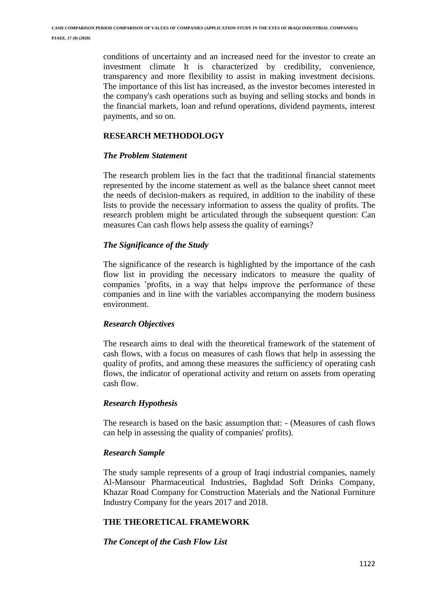conditions of uncertainty and an increased need for the investor to create an investment climate It is characterized by credibility, convenience, transparency and more flexibility to assist in making investment decisions. The importance of this list has increased, as the investor becomes interested in the company's cash operations such as buying and selling stocks and bonds in the financial markets, loan and refund operations, dividend payments, interest payments, and so on.

# **RESEARCH METHODOLOGY**

## *The Problem Statement*

The research problem lies in the fact that the traditional financial statements represented by the income statement as well as the balance sheet cannot meet the needs of decision-makers as required, in addition to the inability of these lists to provide the necessary information to assess the quality of profits. The research problem might be articulated through the subsequent question: Can measures Can cash flows help assess the quality of earnings?

# *The Significance of the Study*

The significance of the research is highlighted by the importance of the cash flow list in providing the necessary indicators to measure the quality of companies 'profits, in a way that helps improve the performance of these companies and in line with the variables accompanying the modern business environment.

## *Research Objectives*

The research aims to deal with the theoretical framework of the statement of cash flows, with a focus on measures of cash flows that help in assessing the quality of profits, and among these measures the sufficiency of operating cash flows, the indicator of operational activity and return on assets from operating cash flow.

## *Research Hypothesis*

The research is based on the basic assumption that: - (Measures of cash flows can help in assessing the quality of companies' profits).

## *Research Sample*

The study sample represents of a group of Iraqi industrial companies, namely Al-Mansour Pharmaceutical Industries, Baghdad Soft Drinks Company, Khazar Road Company for Construction Materials and the National Furniture Industry Company for the years 2017 and 2018.

# **THE THEORETICAL FRAMEWORK**

# *The Concept of the Cash Flow List*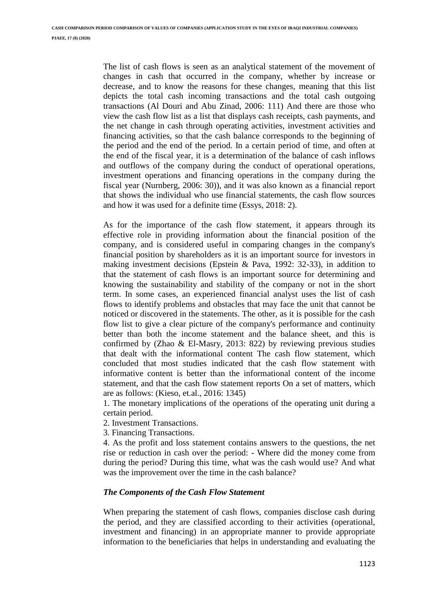The list of cash flows is seen as an analytical statement of the movement of changes in cash that occurred in the company, whether by increase or decrease, and to know the reasons for these changes, meaning that this list depicts the total cash incoming transactions and the total cash outgoing transactions (Al Douri and Abu Zinad, 2006: 111) And there are those who view the cash flow list as a list that displays cash receipts, cash payments, and the net change in cash through operating activities, investment activities and financing activities, so that the cash balance corresponds to the beginning of the period and the end of the period. In a certain period of time, and often at the end of the fiscal year, it is a determination of the balance of cash inflows and outflows of the company during the conduct of operational operations, investment operations and financing operations in the company during the fiscal year (Nurnberg, 2006: 30)), and it was also known as a financial report that shows the individual who use financial statements, the cash flow sources and how it was used for a definite time (Essys, 2018: 2).

As for the importance of the cash flow statement, it appears through its effective role in providing information about the financial position of the company, and is considered useful in comparing changes in the company's financial position by shareholders as it is an important source for investors in making investment decisions (Epstein & Pava, 1992: 32-33), in addition to that the statement of cash flows is an important source for determining and knowing the sustainability and stability of the company or not in the short term. In some cases, an experienced financial analyst uses the list of cash flows to identify problems and obstacles that may face the unit that cannot be noticed or discovered in the statements. The other, as it is possible for the cash flow list to give a clear picture of the company's performance and continuity better than both the income statement and the balance sheet, and this is confirmed by (Zhao & El-Masry, 2013: 822) by reviewing previous studies that dealt with the informational content The cash flow statement, which concluded that most studies indicated that the cash flow statement with informative content is better than the informational content of the income statement, and that the cash flow statement reports On a set of matters, which are as follows: (Kieso, et.al., 2016: 1345)

1. The monetary implications of the operations of the operating unit during a certain period.

2. Investment Transactions.

3. Financing Transactions.

4. As the profit and loss statement contains answers to the questions, the net rise or reduction in cash over the period: - Where did the money come from during the period? During this time, what was the cash would use? And what was the improvement over the time in the cash balance?

## *The Components of the Cash Flow Statement*

When preparing the statement of cash flows, companies disclose cash during the period, and they are classified according to their activities (operational, investment and financing) in an appropriate manner to provide appropriate information to the beneficiaries that helps in understanding and evaluating the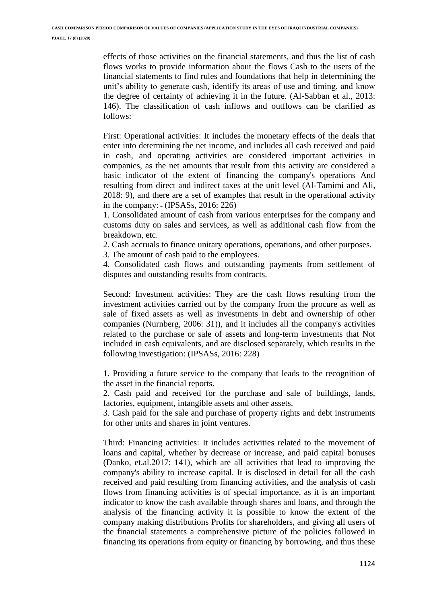effects of those activities on the financial statements, and thus the list of cash flows works to provide information about the flows Cash to the users of the financial statements to find rules and foundations that help in determining the unit's ability to generate cash, identify its areas of use and timing, and know the degree of certainty of achieving it in the future. (Al-Sabban et al., 2013: 146). The classification of cash inflows and outflows can be clarified as follows:

First: Operational activities: It includes the monetary effects of the deals that enter into determining the net income, and includes all cash received and paid in cash, and operating activities are considered important activities in companies, as the net amounts that result from this activity are considered a basic indicator of the extent of financing the company's operations And resulting from direct and indirect taxes at the unit level (Al-Tamimi and Ali, 2018: 9), and there are a set of examples that result in the operational activity in the company:  $-(IPSASS, 2016: 226)$ 

1. Consolidated amount of cash from various enterprises for the company and customs duty on sales and services, as well as additional cash flow from the breakdown, etc.

2. Cash accruals to finance unitary operations, operations, and other purposes.

3. The amount of cash paid to the employees.

4. Consolidated cash flows and outstanding payments from settlement of disputes and outstanding results from contracts.

Second: Investment activities: They are the cash flows resulting from the investment activities carried out by the company from the procure as well as sale of fixed assets as well as investments in debt and ownership of other companies (Nurnberg, 2006: 31)), and it includes all the company's activities related to the purchase or sale of assets and long-term investments that Not included in cash equivalents, and are disclosed separately, which results in the following investigation: (IPSASs, 2016: 228)

1. Providing a future service to the company that leads to the recognition of the asset in the financial reports.

2. Cash paid and received for the purchase and sale of buildings, lands, factories, equipment, intangible assets and other assets.

3. Cash paid for the sale and purchase of property rights and debt instruments for other units and shares in joint ventures.

Third: Financing activities: It includes activities related to the movement of loans and capital, whether by decrease or increase, and paid capital bonuses (Danko, et.al.2017: 141), which are all activities that lead to improving the company's ability to increase capital. It is disclosed in detail for all the cash received and paid resulting from financing activities, and the analysis of cash flows from financing activities is of special importance, as it is an important indicator to know the cash available through shares and loans, and through the analysis of the financing activity it is possible to know the extent of the company making distributions Profits for shareholders, and giving all users of the financial statements a comprehensive picture of the policies followed in financing its operations from equity or financing by borrowing, and thus these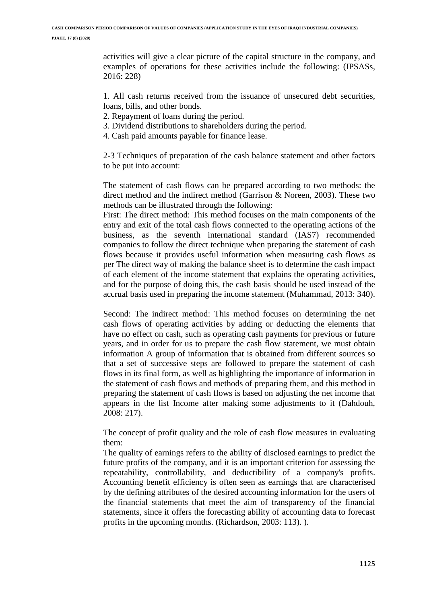activities will give a clear picture of the capital structure in the company, and examples of operations for these activities include the following: (IPSASs, 2016: 228)

1. All cash returns received from the issuance of unsecured debt securities, loans, bills, and other bonds.

- 2. Repayment of loans during the period.
- 3. Dividend distributions to shareholders during the period.
- 4. Cash paid amounts payable for finance lease.

2-3 Techniques of preparation of the cash balance statement and other factors to be put into account:

The statement of cash flows can be prepared according to two methods: the direct method and the indirect method (Garrison & Noreen, 2003). These two methods can be illustrated through the following:

First: The direct method: This method focuses on the main components of the entry and exit of the total cash flows connected to the operating actions of the business, as the seventh international standard (IAS7) recommended companies to follow the direct technique when preparing the statement of cash flows because it provides useful information when measuring cash flows as per The direct way of making the balance sheet is to determine the cash impact of each element of the income statement that explains the operating activities, and for the purpose of doing this, the cash basis should be used instead of the accrual basis used in preparing the income statement (Muhammad, 2013: 340).

Second: The indirect method: This method focuses on determining the net cash flows of operating activities by adding or deducting the elements that have no effect on cash, such as operating cash payments for previous or future years, and in order for us to prepare the cash flow statement, we must obtain information A group of information that is obtained from different sources so that a set of successive steps are followed to prepare the statement of cash flows in its final form, as well as highlighting the importance of information in the statement of cash flows and methods of preparing them, and this method in preparing the statement of cash flows is based on adjusting the net income that appears in the list Income after making some adjustments to it (Dahdouh, 2008: 217).

The concept of profit quality and the role of cash flow measures in evaluating them:

The quality of earnings refers to the ability of disclosed earnings to predict the future profits of the company, and it is an important criterion for assessing the repeatability, controllability, and deductibility of a company's profits. Accounting benefit efficiency is often seen as earnings that are characterised by the defining attributes of the desired accounting information for the users of the financial statements that meet the aim of transparency of the financial statements, since it offers the forecasting ability of accounting data to forecast profits in the upcoming months. (Richardson, 2003: 113). ).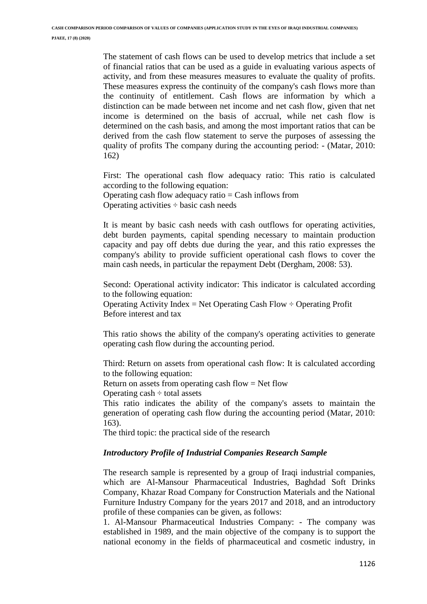The statement of cash flows can be used to develop metrics that include a set of financial ratios that can be used as a guide in evaluating various aspects of activity, and from these measures measures to evaluate the quality of profits. These measures express the continuity of the company's cash flows more than the continuity of entitlement. Cash flows are information by which a distinction can be made between net income and net cash flow, given that net income is determined on the basis of accrual, while net cash flow is determined on the cash basis, and among the most important ratios that can be derived from the cash flow statement to serve the purposes of assessing the quality of profits The company during the accounting period: - (Matar, 2010: 162)

First: The operational cash flow adequacy ratio: This ratio is calculated according to the following equation: Operating cash flow adequacy ratio = Cash inflows from Operating activities  $\div$  basic cash needs

It is meant by basic cash needs with cash outflows for operating activities, debt burden payments, capital spending necessary to maintain production capacity and pay off debts due during the year, and this ratio expresses the company's ability to provide sufficient operational cash flows to cover the main cash needs, in particular the repayment Debt (Dergham, 2008: 53).

Second: Operational activity indicator: This indicator is calculated according to the following equation: Operating Activity Index = Net Operating Cash Flow  $\div$  Operating Profit Before interest and tax

This ratio shows the ability of the company's operating activities to generate operating cash flow during the accounting period.

Third: Return on assets from operational cash flow: It is calculated according to the following equation:

Return on assets from operating cash flow  $=$  Net flow

Operating cash  $\div$  total assets

This ratio indicates the ability of the company's assets to maintain the generation of operating cash flow during the accounting period (Matar, 2010: 163).

The third topic: the practical side of the research

#### *Introductory Profile of Industrial Companies Research Sample*

The research sample is represented by a group of Iraqi industrial companies, which are Al-Mansour Pharmaceutical Industries, Baghdad Soft Drinks Company, Khazar Road Company for Construction Materials and the National Furniture Industry Company for the years 2017 and 2018, and an introductory profile of these companies can be given, as follows:

1. Al-Mansour Pharmaceutical Industries Company: - The company was established in 1989, and the main objective of the company is to support the national economy in the fields of pharmaceutical and cosmetic industry, in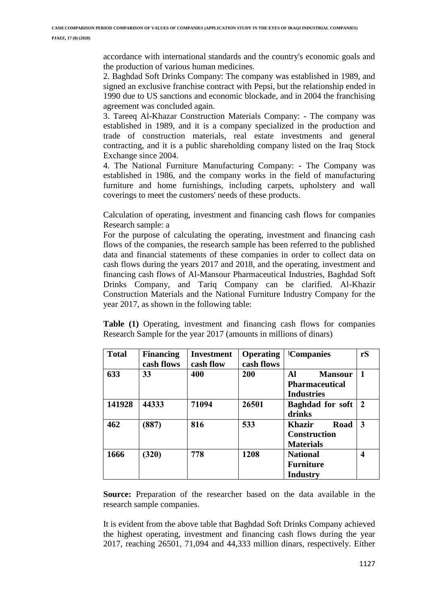accordance with international standards and the country's economic goals and the production of various human medicines.

2. Baghdad Soft Drinks Company: The company was established in 1989, and signed an exclusive franchise contract with Pepsi, but the relationship ended in 1990 due to US sanctions and economic blockade, and in 2004 the franchising agreement was concluded again.

3. Tareeq Al-Khazar Construction Materials Company: - The company was established in 1989, and it is a company specialized in the production and trade of construction materials, real estate investments and general contracting, and it is a public shareholding company listed on the Iraq Stock Exchange since 2004.

4. The National Furniture Manufacturing Company: - The Company was established in 1986, and the company works in the field of manufacturing furniture and home furnishings, including carpets, upholstery and wall coverings to meet the customers' needs of these products.

Calculation of operating, investment and financing cash flows for companies Research sample: a

For the purpose of calculating the operating, investment and financing cash flows of the companies, the research sample has been referred to the published data and financial statements of these companies in order to collect data on cash flows during the years 2017 and 2018, and the operating, investment and financing cash flows of Al-Mansour Pharmaceutical Industries, Baghdad Soft Drinks Company, and Tariq Company can be clarified. Al-Khazir Construction Materials and the National Furniture Industry Company for the year 2017, as shown in the following table:

**Table (1)** Operating, investment and financing cash flows for companies Research Sample for the year 2017 (amounts in millions of dinars)

| <b>Total</b> | <b>Financing</b><br>cash flows | <b>Investment</b><br>cash flow | <b>Operating</b><br>cash flows | <b>Companies</b>                                                   | rS                      |
|--------------|--------------------------------|--------------------------------|--------------------------------|--------------------------------------------------------------------|-------------------------|
| 633          | 33                             | 400                            | 200                            | Al<br><b>Mansour</b><br><b>Pharmaceutical</b><br><b>Industries</b> | $\mathbf{1}$            |
| 141928       | 44333                          | 71094                          | 26501                          | <b>Baghdad</b> for soft<br>drinks                                  | $\overline{2}$          |
| 462          | (887)                          | 816                            | 533                            | Road<br>Khazir<br><b>Construction</b><br><b>Materials</b>          | $\overline{\mathbf{3}}$ |
| 1666         | (320)                          | 778                            | 1208                           | <b>National</b><br><b>Furniture</b><br>Industry                    | $\overline{\mathbf{4}}$ |

**Source:** Preparation of the researcher based on the data available in the research sample companies.

It is evident from the above table that Baghdad Soft Drinks Company achieved the highest operating, investment and financing cash flows during the year 2017, reaching 26501, 71,094 and 44,333 million dinars, respectively. Either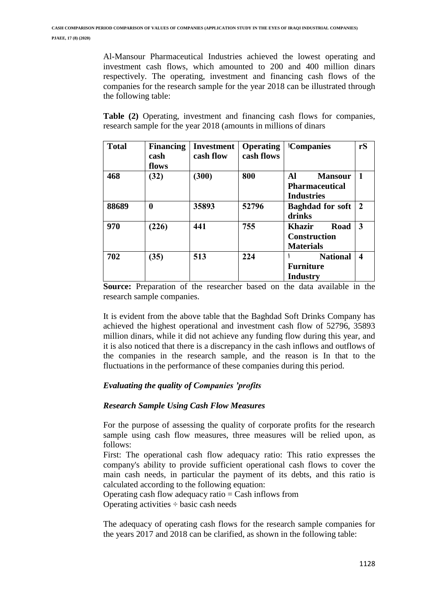Al-Mansour Pharmaceutical Industries achieved the lowest operating and investment cash flows, which amounted to 200 and 400 million dinars respectively. The operating, investment and financing cash flows of the companies for the research sample for the year 2018 can be illustrated through the following table:

**Table (2)** Operating, investment and financing cash flows for companies, research sample for the year 2018 (amounts in millions of dinars

| <b>Total</b> | <b>Financing</b><br>cash<br>flows | <b>Investment</b><br>cash flow | <b>Operating</b><br>cash flows | <b>Companies</b>                                                   | rS               |
|--------------|-----------------------------------|--------------------------------|--------------------------------|--------------------------------------------------------------------|------------------|
| 468          | (32)                              | (300)                          | 800                            | Al<br><b>Mansour</b><br><b>Pharmaceutical</b><br><b>Industries</b> |                  |
| 88689        | 0                                 | 35893                          | 52796                          | <b>Baghdad for soft</b><br>drinks                                  | $\overline{2}$   |
| 970          | (226)                             | 441                            | 755                            | Road<br>Khazir<br><b>Construction</b><br><b>Materials</b>          | 3                |
| 702          | (35)                              | 513                            | 224                            | <b>National</b><br><b>Furniture</b><br><b>Industry</b>             | $\boldsymbol{4}$ |

**Source:** Preparation of the researcher based on the data available in the research sample companies.

It is evident from the above table that the Baghdad Soft Drinks Company has achieved the highest operational and investment cash flow of 52796, 35893 million dinars, while it did not achieve any funding flow during this year, and it is also noticed that there is a discrepancy in the cash inflows and outflows of the companies in the research sample, and the reason is In that to the fluctuations in the performance of these companies during this period.

## *Evaluating the quality of Companies 'profits*

## *Research Sample Using Cash Flow Measures*

For the purpose of assessing the quality of corporate profits for the research sample using cash flow measures, three measures will be relied upon, as follows:

First: The operational cash flow adequacy ratio: This ratio expresses the company's ability to provide sufficient operational cash flows to cover the main cash needs, in particular the payment of its debts, and this ratio is calculated according to the following equation:

Operating cash flow adequacy ratio  $=$  Cash inflows from

Operating activities  $\div$  basic cash needs

The adequacy of operating cash flows for the research sample companies for the years 2017 and 2018 can be clarified, as shown in the following table: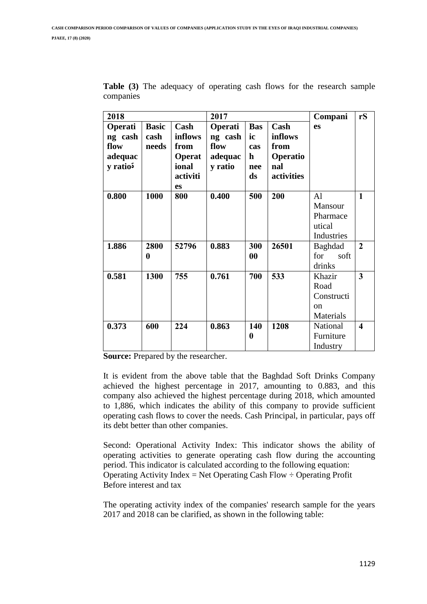| 2018                 |              |               | 2017           |                   |            | Compani       | rS                      |
|----------------------|--------------|---------------|----------------|-------------------|------------|---------------|-------------------------|
| Operati              | <b>Basic</b> | Cash          | <b>Operati</b> | <b>Bas</b>        | Cash       | es            |                         |
| ng cash              | cash         | inflows       | ng cash        | ic                | inflows    |               |                         |
| flow                 | needs        | from          | flow           | cas               | from       |               |                         |
| adequac              |              | <b>Operat</b> | adequac        | $\mathbf h$       | Operatio   |               |                         |
| y ratio <sup>5</sup> |              | ional         | y ratio        | nee               | nal        |               |                         |
|                      |              | activiti      |                | ds                | activities |               |                         |
|                      |              | <b>es</b>     |                |                   |            |               |                         |
| 0.800                | 1000         | 800           | 0.400          | 500               | 200        | Al            | $\mathbf{1}$            |
|                      |              |               |                |                   |            | Mansour       |                         |
|                      |              |               |                |                   |            | Pharmace      |                         |
|                      |              |               |                |                   |            | utical        |                         |
|                      |              |               |                |                   |            | Industries    |                         |
| 1.886                | 2800         | 52796         | 0.883          | 300               | 26501      | Baghdad       | $\overline{2}$          |
|                      | 0            |               |                | $\boldsymbol{00}$ |            | for<br>soft   |                         |
|                      |              |               |                |                   |            | drinks        |                         |
| 0.581                | 1300         | 755           | 0.761          | 700               | 533        | Khazir        | 3                       |
|                      |              |               |                |                   |            | Road          |                         |
|                      |              |               |                |                   |            | Constructi    |                         |
|                      |              |               |                |                   |            | <sub>on</sub> |                         |
|                      |              |               |                |                   |            | Materials     |                         |
| 0.373                | 600          | 224           | 0.863          | 140               | 1208       | National      | $\overline{\mathbf{4}}$ |
|                      |              |               |                | 0                 |            | Furniture     |                         |
|                      |              |               |                |                   |            | Industry      |                         |

**Table (3)** The adequacy of operating cash flows for the research sample companies

**Source:** Prepared by the researcher.

It is evident from the above table that the Baghdad Soft Drinks Company achieved the highest percentage in 2017, amounting to 0.883, and this company also achieved the highest percentage during 2018, which amounted to 1,886, which indicates the ability of this company to provide sufficient operating cash flows to cover the needs. Cash Principal, in particular, pays off its debt better than other companies.

Second: Operational Activity Index: This indicator shows the ability of operating activities to generate operating cash flow during the accounting period. This indicator is calculated according to the following equation: Operating Activity Index = Net Operating Cash Flow  $\div$  Operating Profit Before interest and tax

The operating activity index of the companies' research sample for the years 2017 and 2018 can be clarified, as shown in the following table: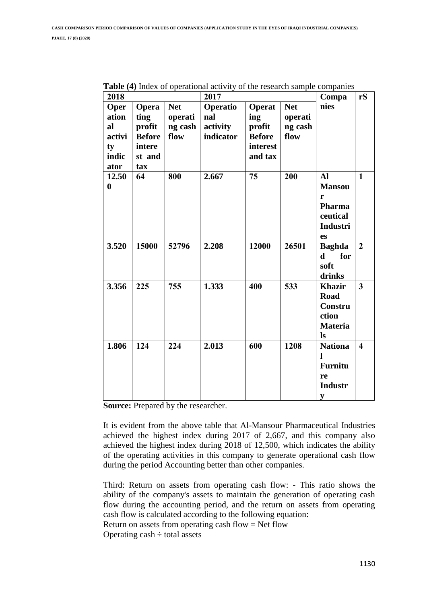| 2018                                                 |                                                                     |                                          | 2017                                     | Compa                                                           | rS                                       |                                                                                 |                         |
|------------------------------------------------------|---------------------------------------------------------------------|------------------------------------------|------------------------------------------|-----------------------------------------------------------------|------------------------------------------|---------------------------------------------------------------------------------|-------------------------|
| Oper<br>ation<br>al<br>activi<br>ty<br>indic<br>ator | Opera<br>ting<br>profit<br><b>Before</b><br>intere<br>st and<br>tax | <b>Net</b><br>operati<br>ng cash<br>flow | Operatio<br>nal<br>activity<br>indicator | Operat<br>ing<br>profit<br><b>Before</b><br>interest<br>and tax | <b>Net</b><br>operati<br>ng cash<br>flow | nies                                                                            |                         |
| 12.50<br>$\bf{0}$                                    | 64                                                                  | 800                                      | 2.667                                    | 75                                                              | 200                                      | Al<br><b>Mansou</b><br>r<br>Pharma<br>ceutical<br><b>Industri</b><br>es         | $\mathbf{1}$            |
| 3.520                                                | 15000                                                               | 52796                                    | 2.208                                    | 12000                                                           | 26501                                    | <b>Baghda</b><br>for<br>$\mathbf d$<br>soft<br>drinks                           | $\overline{2}$          |
| 3.356                                                | 225                                                                 | 755                                      | 1.333                                    | 400                                                             | 533                                      | <b>Khazir</b><br><b>Road</b><br>Constru<br>ction<br><b>Materia</b><br><b>ls</b> | $\overline{\mathbf{3}}$ |
| 1.806                                                | 124                                                                 | 224                                      | 2.013                                    | 600                                                             | 1208                                     | <b>Nationa</b><br>ı<br><b>Furnitu</b><br>re<br><b>Industr</b><br>y              | $\overline{\mathbf{4}}$ |

**Table (4)** Index of operational activity of the research sample companies

**Source:** Prepared by the researcher.

It is evident from the above table that Al-Mansour Pharmaceutical Industries achieved the highest index during 2017 of 2,667, and this company also achieved the highest index during 2018 of 12,500, which indicates the ability of the operating activities in this company to generate operational cash flow during the period Accounting better than other companies.

Third: Return on assets from operating cash flow: - This ratio shows the ability of the company's assets to maintain the generation of operating cash flow during the accounting period, and the return on assets from operating cash flow is calculated according to the following equation: Return on assets from operating cash flow  $=$  Net flow

Operating  $cash \div total$  assets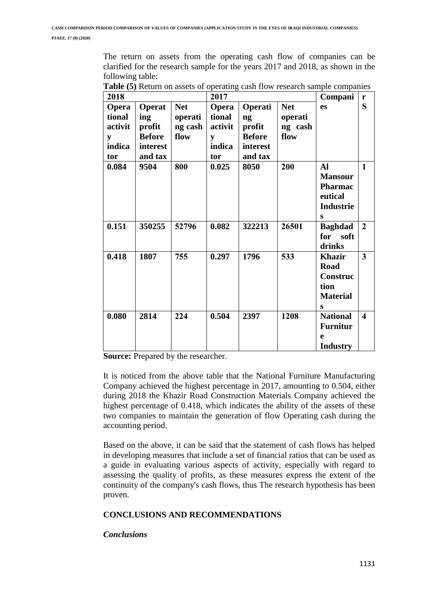The return on assets from the operating cash flow of companies can be clarified for the research sample for the years 2017 and 2018, as shown in the following table:

| 2018                                                    |                                                                 |                                          | 2017                                                    |                                                                 |                                          | Compani                                                                  | r                       |
|---------------------------------------------------------|-----------------------------------------------------------------|------------------------------------------|---------------------------------------------------------|-----------------------------------------------------------------|------------------------------------------|--------------------------------------------------------------------------|-------------------------|
| <b>Opera</b><br>tional<br>activit<br>y<br>indica<br>tor | Operat<br>ing<br>profit<br><b>Before</b><br>interest<br>and tax | <b>Net</b><br>operati<br>ng cash<br>flow | <b>Opera</b><br>tional<br>activit<br>y<br>indica<br>tor | Operati<br>ng<br>profit<br><b>Before</b><br>interest<br>and tax | <b>Net</b><br>operati<br>ng cash<br>flow | es                                                                       | S                       |
| 0.084                                                   | 9504                                                            | 800                                      | 0.025                                                   | 8050                                                            | 200                                      | Al<br><b>Mansour</b><br>Pharmac<br>eutical<br>Industrie<br>S             | $\mathbf{1}$            |
| 0.151                                                   | 350255                                                          | 52796                                    | 0.082                                                   | 322213                                                          | 26501                                    | <b>Baghdad</b><br>for<br>soft<br>drinks                                  | $\overline{2}$          |
| 0.418                                                   | 1807                                                            | 755                                      | 0.297                                                   | 1796                                                            | 533                                      | <b>Khazir</b><br><b>Road</b><br>Construc<br>tion<br><b>Material</b><br>S | 3                       |
| 0.080                                                   | 2814                                                            | 224                                      | 0.504                                                   | 2397                                                            | 1208                                     | <b>National</b><br><b>Furnitur</b><br>$\mathbf e$<br><b>Industry</b>     | $\overline{\mathbf{4}}$ |

**Table (5)** Return on assets of operating cash flow research sample companies

**Source:** Prepared by the researcher.

It is noticed from the above table that the National Furniture Manufacturing Company achieved the highest percentage in 2017, amounting to 0.504, either during 2018 the Khazir Road Construction Materials Company achieved the highest percentage of 0.418, which indicates the ability of the assets of these two companies to maintain the generation of flow Operating cash during the accounting period.

Based on the above, it can be said that the statement of cash flows has helped in developing measures that include a set of financial ratios that can be used as a guide in evaluating various aspects of activity, especially with regard to assessing the quality of profits, as these measures express the extent of the continuity of the company's cash flows, thus The research hypothesis has been proven.

# **CONCLUSIONS AND RECOMMENDATIONS**

## *Conclusions*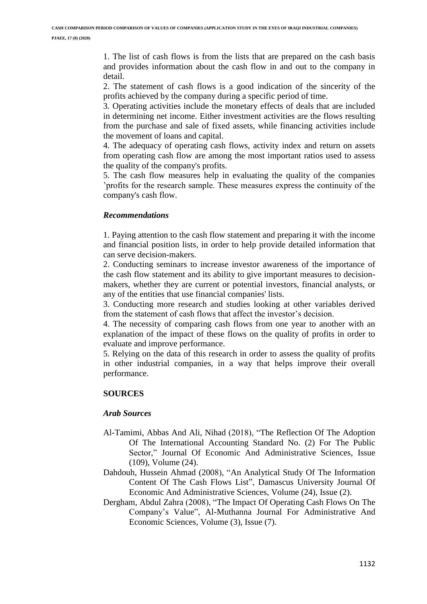1. The list of cash flows is from the lists that are prepared on the cash basis and provides information about the cash flow in and out to the company in detail.

2. The statement of cash flows is a good indication of the sincerity of the profits achieved by the company during a specific period of time.

3. Operating activities include the monetary effects of deals that are included in determining net income. Either investment activities are the flows resulting from the purchase and sale of fixed assets, while financing activities include the movement of loans and capital.

4. The adequacy of operating cash flows, activity index and return on assets from operating cash flow are among the most important ratios used to assess the quality of the company's profits.

5. The cash flow measures help in evaluating the quality of the companies 'profits for the research sample. These measures express the continuity of the company's cash flow.

#### *Recommendations*

1. Paying attention to the cash flow statement and preparing it with the income and financial position lists, in order to help provide detailed information that can serve decision-makers.

2. Conducting seminars to increase investor awareness of the importance of the cash flow statement and its ability to give important measures to decisionmakers, whether they are current or potential investors, financial analysts, or any of the entities that use financial companies' lists.

3. Conducting more research and studies looking at other variables derived from the statement of cash flows that affect the investor's decision.

4. The necessity of comparing cash flows from one year to another with an explanation of the impact of these flows on the quality of profits in order to evaluate and improve performance.

5. Relying on the data of this research in order to assess the quality of profits in other industrial companies, in a way that helps improve their overall performance.

## **SOURCES**

#### *Arab Sources*

- Al-Tamimi, Abbas And Ali, Nihad (2018), "The Reflection Of The Adoption Of The International Accounting Standard No. (2) For The Public Sector," Journal Of Economic And Administrative Sciences, Issue (109), Volume (24).
- Dahdouh, Hussein Ahmad (2008), "An Analytical Study Of The Information Content Of The Cash Flows List", Damascus University Journal Of Economic And Administrative Sciences, Volume (24), Issue (2).
- Dergham, Abdul Zahra (2008), "The Impact Of Operating Cash Flows On The Company's Value", Al-Muthanna Journal For Administrative And Economic Sciences, Volume (3), Issue (7).